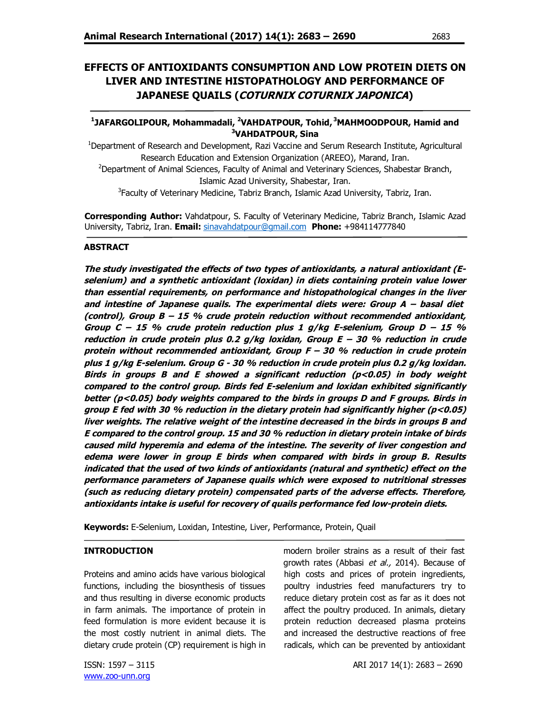# **EFFECTS OF ANTIOXIDANTS CONSUMPTION AND LOW PROTEIN DIETS ON LIVER AND INTESTINE HISTOPATHOLOGY AND PERFORMANCE OF JAPANESE QUAILS (COTURNIX COTURNIX JAPONICA)**

# **1 JAFARGOLIPOUR, Mohammadali, <sup>2</sup>VAHDATPOUR, Tohid, <sup>3</sup>MAHMOODPOUR, Hamid and <sup>3</sup>VAHDATPOUR, Sina**

<sup>1</sup>Department of Research and Development, Razi Vaccine and Serum Research Institute, Agricultural Research Education and Extension Organization (AREEO), Marand, Iran. <sup>2</sup>Department of Animal Sciences, Faculty of Animal and Veterinary Sciences, Shabestar Branch, Islamic Azad University, Shabestar, Iran.

<sup>3</sup>Faculty of Veterinary Medicine, Tabriz Branch, Islamic Azad University, Tabriz, Iran.

**Corresponding Author:** Vahdatpour, S. Faculty of Veterinary Medicine, Tabriz Branch, Islamic Azad University, Tabriz, Iran. **Email:** sinavahdatpour@gmail.com **Phone:** +984114777840

# **ABSTRACT**

**The study investigated the effects of two types of antioxidants, a natural antioxidant (Eselenium) and a synthetic antioxidant (loxidan) in diets containing protein value lower than essential requirements, on performance and histopathological changes in the liver and intestine of Japanese quails. The experimental diets were: Group A – basal diet (control), Group B – 15 % crude protein reduction without recommended antioxidant, Group C – 15 % crude protein reduction plus 1 g/kg E-selenium, Group D – 15 % reduction in crude protein plus 0.2 g/kg loxidan, Group E – 30 % reduction in crude protein without recommended antioxidant, Group F – 30 % reduction in crude protein plus 1 g/kg E-selenium. Group G - 30 % reduction in crude protein plus 0.2 g/kg loxidan. Birds in groups B and E showed a significant reduction (p<0.05) in body weight compared to the control group. Birds fed E-selenium and loxidan exhibited significantly better (p<0.05) body weights compared to the birds in groups D and F groups. Birds in group E fed with 30 % reduction in the dietary protein had significantly higher (p<0.05) liver weights. The relative weight of the intestine decreased in the birds in groups B and E compared to the control group. 15 and 30 % reduction in dietary protein intake of birds caused mild hyperemia and edema of the intestine. The severity of liver congestion and edema were lower in group E birds when compared with birds in group B. Results indicated that the used of two kinds of antioxidants (natural and synthetic) effect on the performance parameters of Japanese quails which were exposed to nutritional stresses (such as reducing dietary protein) compensated parts of the adverse effects. Therefore, antioxidants intake is useful for recovery of quails performance fed low-protein diets.**

**Keywords:** E-Selenium, Loxidan, Intestine, Liver, Performance, Protein, Quail

### **INTRODUCTION**

Proteins and amino acids have various biological functions, including the biosynthesis of tissues and thus resulting in diverse economic products in farm animals. The importance of protein in feed formulation is more evident because it is the most costly nutrient in animal diets. The dietary crude protein (CP) requirement is high in modern broiler strains as a result of their fast growth rates (Abbasi et al., 2014). Because of high costs and prices of protein ingredients, poultry industries feed manufacturers try to reduce dietary protein cost as far as it does not affect the poultry produced. In animals, dietary protein reduction decreased plasma proteins and increased the destructive reactions of free radicals, which can be prevented by antioxidant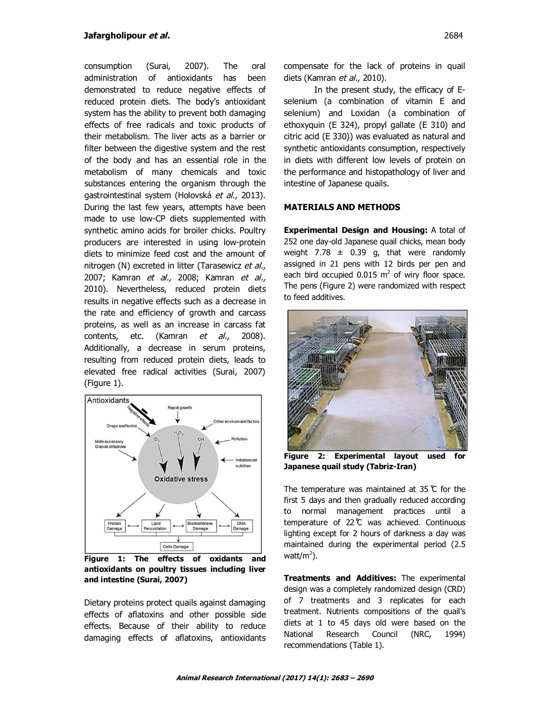consumption (Surai, 2007). The oral administration of antioxidants has been demonstrated to reduce negative effects of reduced protein diets. The body's antioxidant system has the ability to prevent both damaging effects of free radicals and toxic products of their metabolism. The liver acts as a barrier or filter between the digestive system and the rest of the body and has an essential role in the metabolism of many chemicals and toxic substances entering the organism through the gastrointestinal system (Holovská et al., 2013). During the last few years, attempts have been made to use low-CP diets supplemented with synthetic amino acids for broiler chicks. Poultry producers are interested in using low-protein diets to minimize feed cost and the amount of nitrogen (N) excreted in litter (Tarasewicz et al., 2007; Kamran *et al.,* 2008; Kamran *et al.,* 2010). Nevertheless, reduced protein diets results in negative effects such as a decrease in the rate and efficiency of growth and carcass proteins, as well as an increase in carcass fat contents, etc. (Kamran et al., 2008). Additionally, a decrease in serum proteins, resulting from reduced protein diets, leads to elevated free radical activities (Surai, 2007) (Figure 1).



**Figure 1: The effects of oxidants and antioxidants on poultry tissues including liver and intestine (Surai, 2007)**

Dietary proteins protect quails against damaging effects of aflatoxins and other possible side effects. Because of their ability to reduce damaging effects of aflatoxins, antioxidants compensate for the lack of proteins in quail diets (Kamran et al., 2010).

In the present study, the efficacy of Eselenium (a combination of vitamin E and selenium) and Loxidan (a combination of ethoxyquin (E 324), propyl gallate (E 310) and citric acid (E 330)) was evaluated as natural and synthetic antioxidants consumption, respectively in diets with different low levels of protein on the performance and histopathology of liver and intestine of Japanese quails.

#### **MATERIALS AND METHODS**

**Experimental Design and Housing:** A total of 252 one day-old Japanese quail chicks, mean body weight  $7.78 \pm 0.39$  g, that were randomly assigned in 21 pens with 12 birds per pen and each bird occupied  $0.015 \text{ m}^2$  of wiry floor space. The pens (Figure 2) were randomized with respect to feed additives.



**Figure 2: Experimental layout used for Japanese quail study (Tabriz-Iran)**

The temperature was maintained at 35  $<sup>c</sup>$  for the</sup> first 5 days and then gradually reduced according to normal management practices until a temperature of 22 ̊C was achieved. Continuous lighting except for 2 hours of darkness a day was maintained during the experimental period (2.5 watt/m<sup>2</sup>).

**Treatments and Additives:** The experimental design was a completely randomized design (CRD) of 7 treatments and 3 replicates for each treatment. Nutrients compositions of the quail's diets at 1 to 45 days old were based on the National Research Council (NRC, 1994) recommendations (Table 1).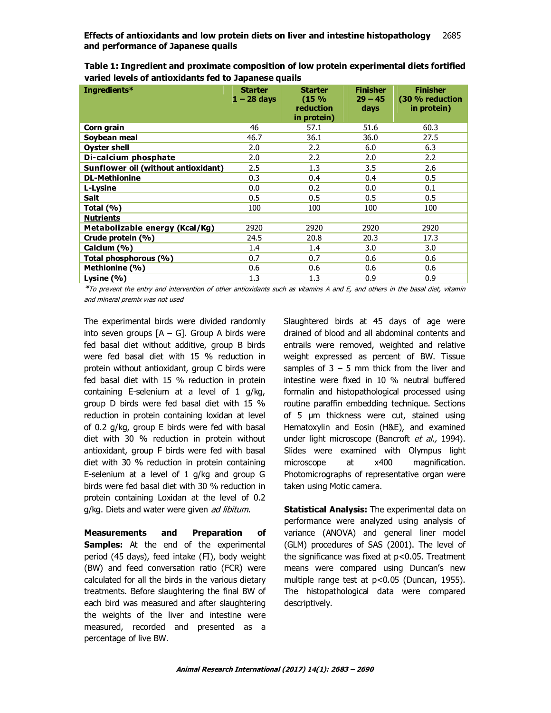**Effects of antioxidants and low protein diets on liver and intestine histopathology** 2685 **and performance of Japanese quails**

| Ingredients*                        | <b>Starter</b><br>$1 - 28$ days | <b>Starter</b><br>(15%<br>reduction<br>in protein) | <b>Finisher</b><br>$29 - 45$<br>days | <b>Finisher</b><br>(30 % reduction<br>in protein) |
|-------------------------------------|---------------------------------|----------------------------------------------------|--------------------------------------|---------------------------------------------------|
| Corn grain                          | 46                              | 57.1                                               | 51.6                                 | 60.3                                              |
| Soybean meal                        | 46.7                            | 36.1                                               | 36.0                                 | 27.5                                              |
| <b>Oyster shell</b>                 | 2.0                             | 2.2                                                | 6.0                                  | 6.3                                               |
| Di-calcium phosphate                | 2.0                             | 2.2                                                | 2.0                                  | 2.2                                               |
| Sunflower oil (without antioxidant) | 2.5                             | 1.3                                                | 3.5                                  | 2.6                                               |
| <b>DL-Methionine</b>                | 0.3                             | 0.4                                                | 0.4                                  | 0.5                                               |
| L-Lysine                            | 0.0                             | 0.2                                                | 0.0                                  | 0.1                                               |
| Salt                                | 0.5                             | 0.5                                                | 0.5                                  | 0.5                                               |
| Total (%)                           | 100                             | 100                                                | 100                                  | 100                                               |
| <b>Nutrients</b>                    |                                 |                                                    |                                      |                                                   |
| Metabolizable energy (Kcal/Kg)      | 2920                            | 2920                                               | 2920                                 | 2920                                              |
| Crude protein (%)                   | 24.5                            | 20.8                                               | 20.3                                 | 17.3                                              |
| Calcium (%)                         | 1.4                             | 1.4                                                | 3.0                                  | 3.0                                               |
| Total phosphorous (%)               | 0.7                             | 0.7                                                | 0.6                                  | 0.6                                               |
| Methionine (%)                      | 0.6                             | 0.6                                                | 0.6                                  | 0.6                                               |
| Lysine $(% )$                       | 1.3                             | 1.3                                                | 0.9                                  | 0.9                                               |

**Table 1: Ingredient and proximate composition of low protein experimental diets fortified varied levels of antioxidants fed to Japanese quails** 

\*To prevent the entry and intervention of other antioxidants such as vitamins A and E, and others in the basal diet, vitamin

and mineral premix was not used

The experimental birds were divided randomly into seven groups  $[A - G]$ . Group A birds were fed basal diet without additive, group B birds were fed basal diet with 15 % reduction in protein without antioxidant, group C birds were fed basal diet with 15 % reduction in protein containing E-selenium at a level of 1 g/kg, group D birds were fed basal diet with 15 % reduction in protein containing loxidan at level of 0.2 g/kg, group E birds were fed with basal diet with 30 % reduction in protein without antioxidant, group F birds were fed with basal diet with 30 % reduction in protein containing E-selenium at a level of 1 g/kg and group G birds were fed basal diet with 30 % reduction in protein containing Loxidan at the level of 0.2 g/kg. Diets and water were given ad libitum.

**Measurements and Preparation of Samples:** At the end of the experimental period (45 days), feed intake (FI), body weight (BW) and feed conversation ratio (FCR) were calculated for all the birds in the various dietary treatments. Before slaughtering the final BW of each bird was measured and after slaughtering the weights of the liver and intestine were measured, recorded and presented as a percentage of live BW.

Slaughtered birds at 45 days of age were drained of blood and all abdominal contents and entrails were removed, weighted and relative weight expressed as percent of BW. Tissue samples of  $3 - 5$  mm thick from the liver and intestine were fixed in 10 % neutral buffered formalin and histopathological processed using routine paraffin embedding technique. Sections of 5 µm thickness were cut, stained using Hematoxylin and Eosin (H&E), and examined under light microscope (Bancroft et al., 1994). Slides were examined with Olympus light microscope at x400 magnification. Photomicrographs of representative organ were taken using Motic camera.

**Statistical Analysis:** The experimental data on performance were analyzed using analysis of variance (ANOVA) and general liner model (GLM) procedures of SAS (2001). The level of the significance was fixed at p<0.05. Treatment means were compared using Duncan's new multiple range test at p<0.05 (Duncan, 1955). The histopathological data were compared descriptively.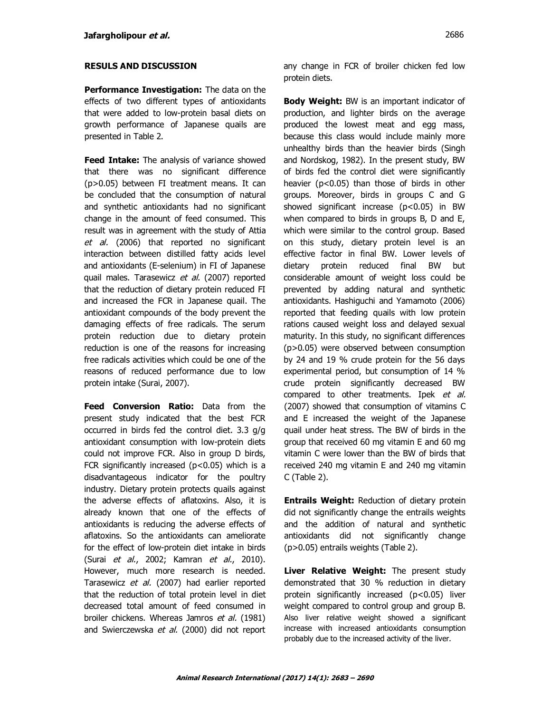### **RESULS AND DISCUSSION**

**Performance Investigation:** The data on the effects of two different types of antioxidants that were added to low-protein basal diets on growth performance of Japanese quails are presented in Table 2.

**Feed Intake:** The analysis of variance showed that there was no significant difference (p>0.05) between FI treatment means. It can be concluded that the consumption of natural and synthetic antioxidants had no significant change in the amount of feed consumed. This result was in agreement with the study of Attia et al. (2006) that reported no significant interaction between distilled fatty acids level and antioxidants (E-selenium) in FI of Japanese quail males. Tarasewicz et al. (2007) reported that the reduction of dietary protein reduced FI and increased the FCR in Japanese quail. The antioxidant compounds of the body prevent the damaging effects of free radicals. The serum protein reduction due to dietary protein reduction is one of the reasons for increasing free radicals activities which could be one of the reasons of reduced performance due to low protein intake (Surai, 2007).

**Feed Conversion Ratio:** Data from the present study indicated that the best FCR occurred in birds fed the control diet. 3.3 g/g antioxidant consumption with low-protein diets could not improve FCR. Also in group D birds, FCR significantly increased ( $p$ <0.05) which is a disadvantageous indicator for the poultry industry. Dietary protein protects quails against the adverse effects of aflatoxins. Also, it is already known that one of the effects of antioxidants is reducing the adverse effects of aflatoxins. So the antioxidants can ameliorate for the effect of low-protein diet intake in birds (Surai et al., 2002; Kamran et al., 2010). However, much more research is needed. Tarasewicz et al. (2007) had earlier reported that the reduction of total protein level in diet decreased total amount of feed consumed in broiler chickens. Whereas Jamros et al. (1981) and Swierczewska et al. (2000) did not report

**Body Weight:** BW is an important indicator of production, and lighter birds on the average produced the lowest meat and egg mass, because this class would include mainly more unhealthy birds than the heavier birds (Singh and Nordskog, 1982). In the present study, BW of birds fed the control diet were significantly heavier (p<0.05) than those of birds in other groups. Moreover, birds in groups C and G showed significant increase  $(p<0.05)$  in BW when compared to birds in groups B, D and E, which were similar to the control group. Based on this study, dietary protein level is an effective factor in final BW. Lower levels of dietary protein reduced final BW but considerable amount of weight loss could be prevented by adding natural and synthetic antioxidants. Hashiguchi and Yamamoto (2006) reported that feeding quails with low protein rations caused weight loss and delayed sexual maturity. In this study, no significant differences (p>0.05) were observed between consumption by 24 and 19 % crude protein for the 56 days experimental period, but consumption of 14 % crude protein significantly decreased BW compared to other treatments. Ipek et al. (2007) showed that consumption of vitamins C and E increased the weight of the Japanese quail under heat stress. The BW of birds in the group that received 60 mg vitamin E and 60 mg vitamin C were lower than the BW of birds that received 240 mg vitamin E and 240 mg vitamin C (Table 2).

**Entrails Weight:** Reduction of dietary protein did not significantly change the entrails weights and the addition of natural and synthetic antioxidants did not significantly change (p>0.05) entrails weights (Table 2).

**Liver Relative Weight:** The present study demonstrated that 30 % reduction in dietary protein significantly increased (p<0.05) liver weight compared to control group and group B. Also liver relative weight showed a significant increase with increased antioxidants consumption probably due to the increased activity of the liver.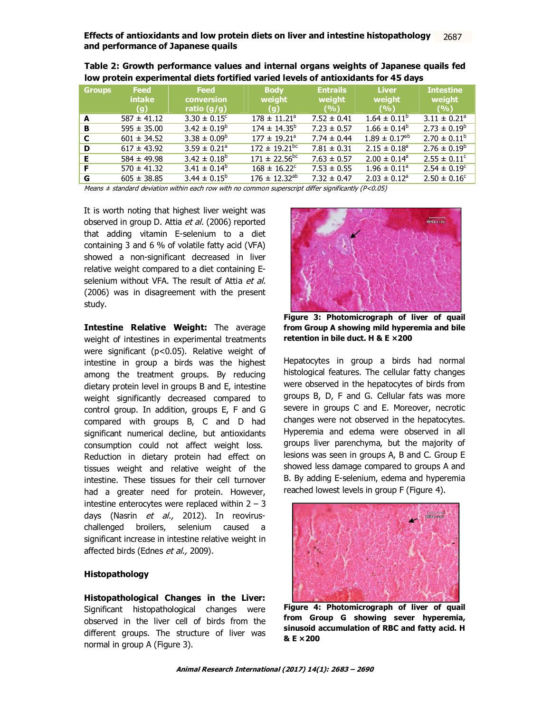**Effects of antioxidants and low protein diets on liver and intestine histopathology** 2685 **and performance of Japanese quails** 2687

| <b>Groups</b> | <b>Feed</b><br><b>intake</b><br>(q) | <b>Feed</b><br><b>conversion</b><br>ratio $(g/g)$ | <b>Body</b><br>weight<br>(q)  | <b>Entrails</b><br>weight<br>(9/6) | <b>Liver</b><br>weight<br>(9/6) | <b>Intestine</b><br>weight<br>(9/6) |
|---------------|-------------------------------------|---------------------------------------------------|-------------------------------|------------------------------------|---------------------------------|-------------------------------------|
| A             | $587 \pm 41.12$                     | $3.30 \pm 0.15^{\circ}$                           | $178 \pm 11.21^{\circ}$       | $7.52 \pm 0.41$                    | $1.64 \pm 0.11^{\circ}$         | $3.11 \pm 0.21^{\circ}$             |
| в             | $595 \pm 35.00$                     | $3.42 \pm 0.19^b$                                 | $174 \pm 14.35^b$             | $7.23 \pm 0.57$                    | $1.66 \pm 0.14^b$               | $2.73 \pm 0.19^b$                   |
| C             | $601 \pm 34.52$                     | $3.38 \pm 0.09^b$                                 | $177 \pm 19.21^{\circ}$       | $7.74 \pm 0.44$                    | $1.89 \pm 0.17$ <sup>ab</sup>   | $2.70 \pm 0.11^b$                   |
| D             | $617 \pm 43.92$                     | $3.59 \pm 0.21$ <sup>a</sup>                      | $172 \pm 19.21$ <sup>bc</sup> | $7.81 \pm 0.31$                    | $2.15 \pm 0.18^{\circ}$         | $2.76 \pm 0.19^b$                   |
| Е             | $584 \pm 49.98$                     | $3.42 \pm 0.18^b$                                 | $171 \pm 22.56^{bc}$          | $7.63 \pm 0.57$                    | $2.00 \pm 0.14^{\circ}$         | $2.55 \pm 0.11^{\circ}$             |
| F             | $570 \pm 41.32$                     | $3.41 \pm 0.14^b$                                 | $168 \pm 16.22^{\circ}$       | $7.53 \pm 0.55$                    | $1.96 \pm 0.11^{\circ}$         | $2.54 \pm 0.19^{\circ}$             |
| G             | $605 \pm 38.85$                     | $3.44 \pm 0.15^b$                                 | $176 \pm 12.32^{ab}$          | $7.32 \pm 0.47$                    | $2.03 \pm 0.12^a$               | $2.50 \pm 0.16^{\circ}$             |

|                                                                                    | Table 2: Growth performance values and internal organs weights of Japanese quails fed |
|------------------------------------------------------------------------------------|---------------------------------------------------------------------------------------|
| low protein experimental diets fortified varied levels of antioxidants for 45 days |                                                                                       |

Means  $\pm$  standard deviation within each row with no common superscript differ significantly (P<0.05)

It is worth noting that highest liver weight was observed in group D. Attia et al. (2006) reported that adding vitamin E-selenium to a diet containing 3 and 6 % of volatile fatty acid (VFA) showed a non-significant decreased in liver relative weight compared to a diet containing Eselenium without VFA. The result of Attia et al. (2006) was in disagreement with the present study.

**Intestine Relative Weight:** The average weight of intestines in experimental treatments were significant (p<0.05). Relative weight of intestine in group a birds was the highest among the treatment groups. By reducing dietary protein level in groups B and E, intestine weight significantly decreased compared to control group. In addition, groups E, F and G compared with groups B, C and D had significant numerical decline, but antioxidants consumption could not affect weight loss. Reduction in dietary protein had effect on tissues weight and relative weight of the intestine. These tissues for their cell turnover had a greater need for protein. However, intestine enterocytes were replaced within  $2 - 3$ days (Nasrin et al., 2012). In reoviruschallenged broilers, selenium caused a significant increase in intestine relative weight in affected birds (Ednes et al., 2009).

### **Histopathology**

**Histopathological Changes in the Liver:** Significant histopathological changes were observed in the liver cell of birds from the different groups. The structure of liver was normal in group A (Figure 3).



**Figure 3: Photomicrograph of liver of quail from Group A showing mild hyperemia and bile retention in bile duct. H & E ×200**

Hepatocytes in group a birds had normal histological features. The cellular fatty changes were observed in the hepatocytes of birds from groups B, D, F and G. Cellular fats was more severe in groups C and E. Moreover, necrotic changes were not observed in the hepatocytes. Hyperemia and edema were observed in all groups liver parenchyma, but the majority of lesions was seen in groups A, B and C. Group E showed less damage compared to groups A and B. By adding E-selenium, edema and hyperemia reached lowest levels in group F (Figure 4).



**Figure 4: Photomicrograph of liver of quail from Group G showing sever hyperemia, sinusoid accumulation of RBC and fatty acid. H & E ×200**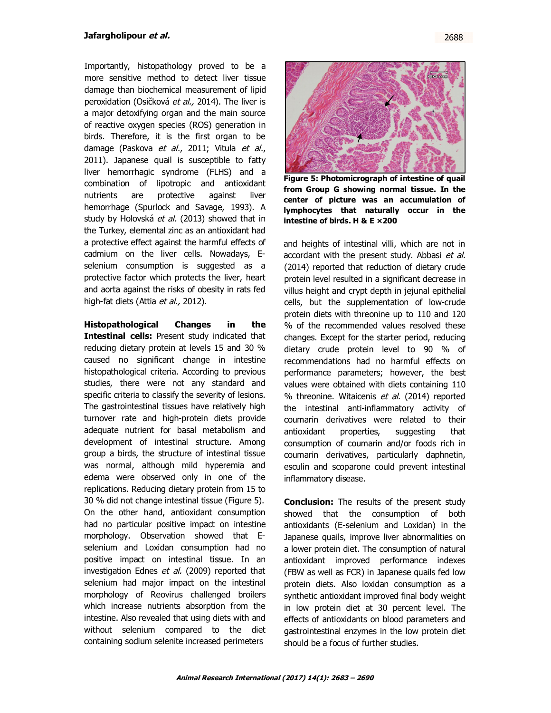Importantly, histopathology proved to be a more sensitive method to detect liver tissue damage than biochemical measurement of lipid peroxidation (Osičková et al., 2014). The liver is a major detoxifying organ and the main source of reactive oxygen species (ROS) generation in birds. Therefore, it is the first organ to be damage (Paskova et al., 2011; Vitula et al., 2011). Japanese quail is susceptible to fatty liver hemorrhagic syndrome (FLHS) and a combination of lipotropic and antioxidant nutrients are protective against liver hemorrhage (Spurlock and Savage, 1993). A study by Holovská et al. (2013) showed that in the Turkey, elemental zinc as an antioxidant had a protective effect against the harmful effects of cadmium on the liver cells. Nowadays, Eselenium consumption is suggested as a protective factor which protects the liver, heart and aorta against the risks of obesity in rats fed high-fat diets (Attia et al., 2012).

**Histopathological Changes in the Intestinal cells:** Present study indicated that reducing dietary protein at levels 15 and 30 % caused no significant change in intestine histopathological criteria. According to previous studies, there were not any standard and specific criteria to classify the severity of lesions. The gastrointestinal tissues have relatively high turnover rate and high-protein diets provide adequate nutrient for basal metabolism and development of intestinal structure. Among group a birds, the structure of intestinal tissue was normal, although mild hyperemia and edema were observed only in one of the replications. Reducing dietary protein from 15 to 30 % did not change intestinal tissue (Figure 5). On the other hand, antioxidant consumption had no particular positive impact on intestine morphology. Observation showed that Eselenium and Loxidan consumption had no positive impact on intestinal tissue. In an investigation Ednes et al. (2009) reported that selenium had major impact on the intestinal morphology of Reovirus challenged broilers which increase nutrients absorption from the intestine. Also revealed that using diets with and without selenium compared to the diet containing sodium selenite increased perimeters



**Figure 5: Photomicrograph of intestine of quail from Group G showing normal tissue. In the center of picture was an accumulation of lymphocytes that naturally occur in the intestine of birds. H & E ×200**

and heights of intestinal villi, which are not in accordant with the present study. Abbasi et al. (2014) reported that reduction of dietary crude protein level resulted in a significant decrease in villus height and crypt depth in jejunal epithelial cells, but the supplementation of low-crude protein diets with threonine up to 110 and 120 % of the recommended values resolved these changes. Except for the starter period, reducing dietary crude protein level to 90 % of recommendations had no harmful effects on performance parameters; however, the best values were obtained with diets containing 110 % threonine. Witaicenis et al. (2014) reported the intestinal anti-inflammatory activity of coumarin derivatives were related to their antioxidant properties, suggesting that consumption of coumarin and/or foods rich in coumarin derivatives, particularly daphnetin, esculin and scoparone could prevent intestinal inflammatory disease.

**Conclusion:** The results of the present study showed that the consumption of both antioxidants (E-selenium and Loxidan) in the Japanese quails, improve liver abnormalities on a lower protein diet. The consumption of natural antioxidant improved performance indexes (FBW as well as FCR) in Japanese quails fed low protein diets. Also loxidan consumption as a synthetic antioxidant improved final body weight in low protein diet at 30 percent level. The effects of antioxidants on blood parameters and gastrointestinal enzymes in the low protein diet should be a focus of further studies.

2688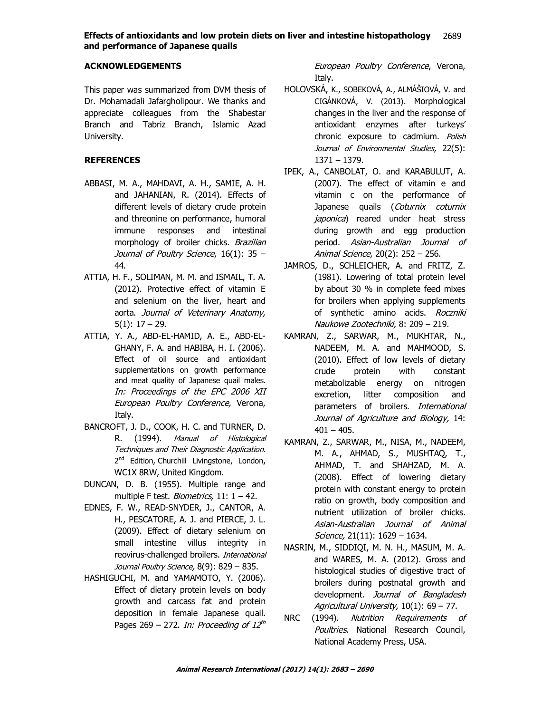#### **Effects of antioxidants and low protein diets on liver and intestine histopathology** 2685 **and performance of Japanese quails** 2689

# **ACKNOWLEDGEMENTS**

This paper was summarized from DVM thesis of Dr. Mohamadali Jafargholipour. We thanks and appreciate colleagues from the Shabestar Branch and Tabriz Branch, Islamic Azad University.

# **REFERENCES**

- ABBASI, M. A., MAHDAVI, A. H., SAMIE, A. H. and JAHANIAN, R. (2014). Effects of different levels of dietary crude protein and threonine on performance, humoral immune responses and intestinal morphology of broiler chicks. Brazilian Journal of Poultry Science, 16(1): 35 -44.
- ATTIA, H. F., SOLIMAN, M. M. and ISMAIL, T. A. (2012). Protective effect of vitamin E and selenium on the liver, heart and aorta. Journal of Veterinary Anatomy, 5(1): 17 – 29.
- ATTIA, Y. A., ABD-EL-HAMID, A. E., ABD-EL-GHANY, F. A. and HABIBA, H. I. (2006). Effect of oil source and antioxidant supplementations on growth performance and meat quality of Japanese quail males. In: Proceedings of the EPC 2006 XII European Poultry Conference, Verona, Italy.
- BANCROFT, J. D., COOK, H. C. and TURNER, D. R. (1994). Manual of Histological Techniques and Their Diagnostic Application. 2<sup>nd</sup> Edition, Churchill Livingstone, London, WC1X 8RW, United Kingdom.
- DUNCAN, D. B. (1955). Multiple range and multiple F test. *Biometrics*,  $11: 1 - 42$ .
- EDNES, F. W., READ-SNYDER, J., CANTOR, A. H., PESCATORE, A. J. and PIERCE, J. L. (2009). Effect of dietary selenium on small intestine villus integrity in reovirus-challenged broilers. International Journal Poultry Science, 8(9): 829 - 835.
- HASHIGUCHI, M. and YAMAMOTO, Y. (2006). Effect of dietary protein levels on body growth and carcass fat and protein deposition in female Japanese quail. Pages 269 – 272. In: Proceeding of 12<sup>th</sup>

European Poultry Conference, Verona, Italy.

- HOLOVSKÁ, K., SOBEKOVÁ, A., ALMÁŠIOVÁ, V. and CIGÁNKOVÁ, V. (2013). Morphological changes in the liver and the response of antioxidant enzymes after turkeys' chronic exposure to cadmium. Polish Journal of Environmental Studies, 22(5): 1371 – 1379.
- IPEK, A., CANBOLAT, O. and KARABULUT, A. (2007). The effect of vitamin e and vitamin c on the performance of Japanese quails (Coturnix coturnix japonica) reared under heat stress during growth and egg production period. Asian-Australian Journal of Animal Science, 20(2): 252 – 256.
- JAMROS, D., SCHLEICHER, A. and FRITZ, Z. (1981). Lowering of total protein level by about 30 % in complete feed mixes for broilers when applying supplements of synthetic amino acids. Roczniki Naukowe Zootechniki, 8: 209 – 219.
- KAMRAN, Z., SARWAR, M., MUKHTAR, N., NADEEM, M. A. and MAHMOOD, S. (2010). Effect of low levels of dietary crude protein with constant metabolizable energy on nitrogen excretion, litter composition and parameters of broilers. International Journal of Agriculture and Biology, 14:  $401 - 405$ .
- KAMRAN, Z., SARWAR, M., NISA, M., NADEEM, M. A., AHMAD, S., MUSHTAQ, T., AHMAD, T. and SHAHZAD, M. A. (2008). Effect of lowering dietary protein with constant energy to protein ratio on growth, body composition and nutrient utilization of broiler chicks. Asian-Australian Journal of Animal Science, 21(11): 1629 - 1634.
- NASRIN, M., SIDDIQI, M. N. H., MASUM, M. A. and WARES, M. A. (2012). Gross and histological studies of digestive tract of broilers during postnatal growth and development. Journal of Bangladesh Agricultural University, 10(1): 69 – 77.
- NRC (1994). Nutrition Requirements of Poultries. National Research Council, National Academy Press, USA.